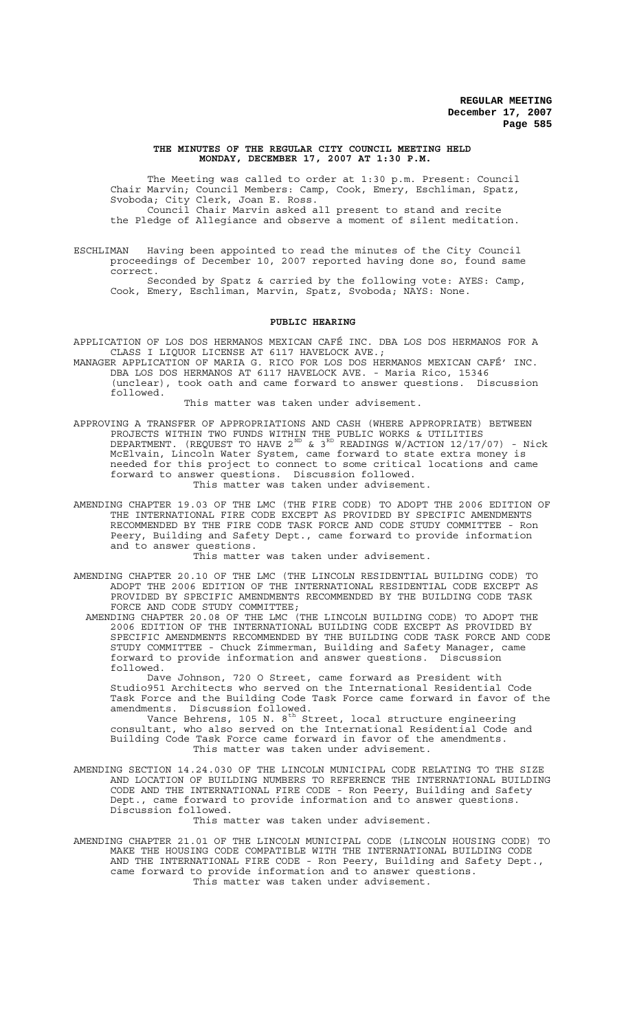### **THE MINUTES OF THE REGULAR CITY COUNCIL MEETING HELD MONDAY, DECEMBER 17, 2007 AT 1:30 P.M.**

The Meeting was called to order at 1:30 p.m. Present: Council Chair Marvin; Council Members: Camp, Cook, Emery, Eschliman, Spatz, Svoboda; City Clerk, Joan E. Ross. Council Chair Marvin asked all present to stand and recite the Pledge of Allegiance and observe a moment of silent meditation.

ESCHLIMAN Having been appointed to read the minutes of the City Council proceedings of December 10, 2007 reported having done so, found same correct.

Seconded by Spatz & carried by the following vote: AYES: Camp, Cook, Emery, Eschliman, Marvin, Spatz, Svoboda; NAYS: None.

#### **PUBLIC HEARING**

APPLICATION OF LOS DOS HERMANOS MEXICAN CAFÉ INC. DBA LOS DOS HERMANOS FOR A CLASS I LIQUOR LICENSE AT 6117 HAVELOCK AVE.;

MANAGER APPLICATION OF MARIA G. RICO FOR LOS DOS HERMANOS MEXICAN CAFÉ' INC. DBA LOS DOS HERMANOS AT 6117 HAVELOCK AVE. - Maria Rico, 15346 (unclear), took oath and came forward to answer questions. Discussion followed.

This matter was taken under advisement.

- APPROVING A TRANSFER OF APPROPRIATIONS AND CASH (WHERE APPROPRIATE) BETWEEN PROJECTS WITHIN TWO FUNDS WITHIN THE PUBLIC WORKS & UTILITIES DEPARTMENT. (REQUEST TO HAVE 2 $^{\text{\tiny{ND}}}$  & 3 $^{\text{\tiny{RD}}}$  READINGS W/ACTION 12/17/07) - Nick McElvain, Lincoln Water System, came forward to state extra money is needed for this project to connect to some critical locations and came forward to answer questions. Discussion followed. This matter was taken under advisement.
- AMENDING CHAPTER 19.03 OF THE LMC (THE FIRE CODE) TO ADOPT THE 2006 EDITION OF THE INTERNATIONAL FIRE CODE EXCEPT AS PROVIDED BY SPECIFIC AMENDMENTS RECOMMENDED BY THE FIRE CODE TASK FORCE AND CODE STUDY COMMITTEE - Ron Peery, Building and Safety Dept., came forward to provide information and to answer questions.

This matter was taken under advisement.

- AMENDING CHAPTER 20.10 OF THE LMC (THE LINCOLN RESIDENTIAL BUILDING CODE) TO ADOPT THE 2006 EDITION OF THE INTERNATIONAL RESIDENTIAL CODE EXCEPT AS PROVIDED BY SPECIFIC AMENDMENTS RECOMMENDED BY THE BUILDING CODE TASK FORCE AND CODE STUDY COMMITTEE;
- AMENDING CHAPTER 20.08 OF THE LMC (THE LINCOLN BUILDING CODE) TO ADOPT THE 2006 EDITION OF THE INTERNATIONAL BUILDING CODE EXCEPT AS PROVIDED BY SPECIFIC AMENDMENTS RECOMMENDED BY THE BUILDING CODE TASK FORCE AND CODE STUDY COMMITTEE - Chuck Zimmerman, Building and Safety Manager, came forward to provide information and answer questions. followed.

Dave Johnson, 720 O Street, came forward as President with Studio951 Architects who served on the International Residential Code Task Force and the Building Code Task Force came forward in favor of the amendments. Discussion followed.

Vance Behrens, 105 N. 8<sup>th</sup> Street, local structure engineering consultant, who also served on the International Residential Code and Building Code Task Force came forward in favor of the amendments. This matter was taken under advisement.

AMENDING SECTION 14.24.030 OF THE LINCOLN MUNICIPAL CODE RELATING TO THE SIZE AND LOCATION OF BUILDING NUMBERS TO REFERENCE THE INTERNATIONAL BUILDING CODE AND THE INTERNATIONAL FIRE CODE - Ron Peery, Building and Safety Dept., came forward to provide information and to answer questions. Discussion followed.

This matter was taken under advisement.

AMENDING CHAPTER 21.01 OF THE LINCOLN MUNICIPAL CODE (LINCOLN HOUSING CODE) TO MAKE THE HOUSING CODE COMPATIBLE WITH THE INTERNATIONAL BUILDING CODE AND THE INTERNATIONAL FIRE CODE - Ron Peery, Building and Safety Dept., came forward to provide information and to answer questions. This matter was taken under advisement.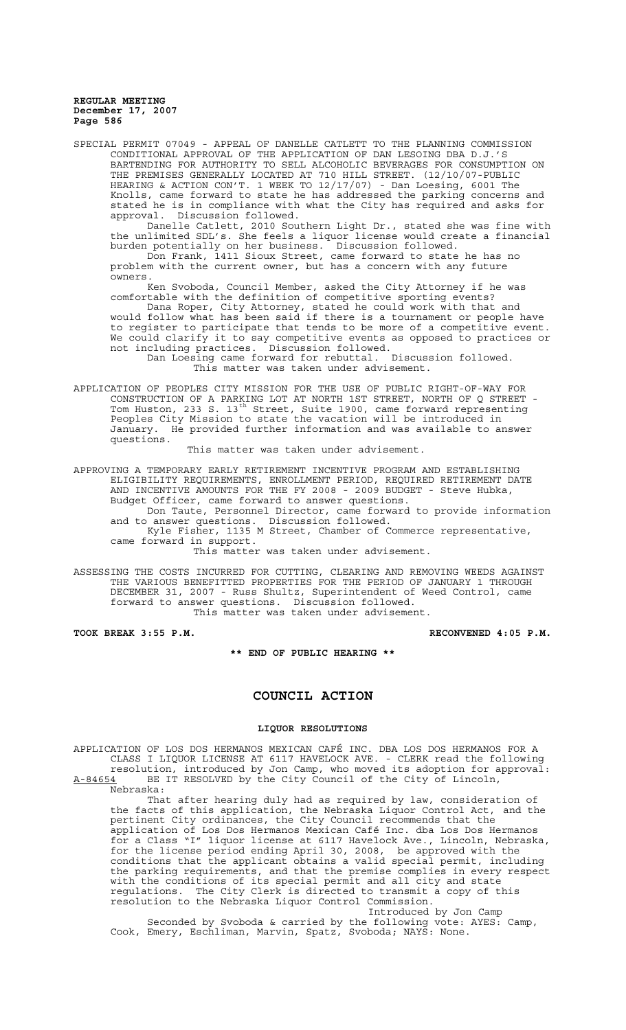SPECIAL PERMIT 07049 - APPEAL OF DANELLE CATLETT TO THE PLANNING COMMISSION CONDITIONAL APPROVAL OF THE APPLICATION OF DAN LESOING DBA D.J.'S BARTENDING FOR AUTHORITY TO SELL ALCOHOLIC BEVERAGES FOR CONSUMPTION ON THE PREMISES GENERALLY LOCATED AT 710 HILL STREET. (12/10/07-PUBLIC HEARING & ACTION CON'T. 1 WEEK TO 12/17/07) - Dan Loesing, 6001 The Knolls, came forward to state he has addressed the parking concerns and stated he is in compliance with what the City has required and asks for approval. Discussion followed.

Danelle Catlett, 2010 Southern Light Dr., stated she was fine with the unlimited SDL's. She feels a liquor license would create a financial burden potentially on her business. Discussion followed.

Don Frank, 1411 Sioux Street, came forward to state he has no problem with the current owner, but has a concern with any future owners.

Ken Svoboda, Council Member, asked the City Attorney if he was comfortable with the definition of competitive sporting events?

Dana Roper, City Attorney, stated he could work with that and would follow what has been said if there is a tournament or people have to register to participate that tends to be more of a competitive event. We could clarify it to say competitive events as opposed to practices or not including practices. Discussion followed.

Dan Loesing came forward for rebuttal. Discussion followed. This matter was taken under advisement.

APPLICATION OF PEOPLES CITY MISSION FOR THE USE OF PUBLIC RIGHT-OF-WAY FOR CONSTRUCTION OF A PARKING LOT AT NORTH 1ST STREET, NORTH OF Q STREET - Tom Huston, 233 S. 13<sup>th</sup> Street, Suite 1900, came forward representing Peoples City Mission to state the vacation will be introduced in January. He provided further information and was available to answer questions.

This matter was taken under advisement.

APPROVING A TEMPORARY EARLY RETIREMENT INCENTIVE PROGRAM AND ESTABLISHING ELIGIBILITY REQUIREMENTS, ENROLLMENT PERIOD, REQUIRED RETIREMENT DATE AND INCENTIVE AMOUNTS FOR THE FY 2008 - 2009 BUDGET - Steve Hubka, Budget Officer, came forward to answer questions.

Don Taute, Personnel Director, came forward to provide information and to answer questions. Discussion followed.

Kyle Fisher, 1135 M Street, Chamber of Commerce representative, came forward in support.

This matter was taken under advisement.

ASSESSING THE COSTS INCURRED FOR CUTTING, CLEARING AND REMOVING WEEDS AGAINST THE VARIOUS BENEFITTED PROPERTIES FOR THE PERIOD OF JANUARY 1 THROUGH DECEMBER 31, 2007 - Russ Shultz, Superintendent of Weed Control, came forward to answer questions. Discussion followed. This matter was taken under advisement.

**TOOK BREAK 3:55 P.M. RECONVENED 4:05 P.M.**

**\*\* END OF PUBLIC HEARING \*\***

# **COUNCIL ACTION**

### **LIQUOR RESOLUTIONS**

APPLICATION OF LOS DOS HERMANOS MEXICAN CAFÉ INC. DBA LOS DOS HERMANOS FOR A CLASS I LIQUOR LICENSE AT 6117 HAVELOCK AVE. - CLERK read the following resolution, introduced by Jon Camp, who moved its adoption for approval: A-84654 BE IT RESOLVED by the City Council of the City of Lincoln,

Nebraska: That after hearing duly had as required by law, consideration of the facts of this application, the Nebraska Liquor Control Act, and the pertinent City ordinances, the City Council recommends that the application of Los Dos Hermanos Mexican Café Inc. dba Los Dos Hermanos for a Class "I" liquor license at 6117 Havelock Ave., Lincoln, Nebraska, for the license period ending April 30, 2008, be approved with the conditions that the applicant obtains a valid special permit, including the parking requirements, and that the premise complies in every respect with the conditions of its special permit and all city and state regulations. The City Clerk is directed to transmit a copy of this resolution to the Nebraska Liquor Control Commission.

Introduced by Jon Camp Seconded by Svoboda & carried by the following vote: AYES: Camp, Cook, Emery, Eschliman, Marvin, Spatz, Svoboda; NAYS: None.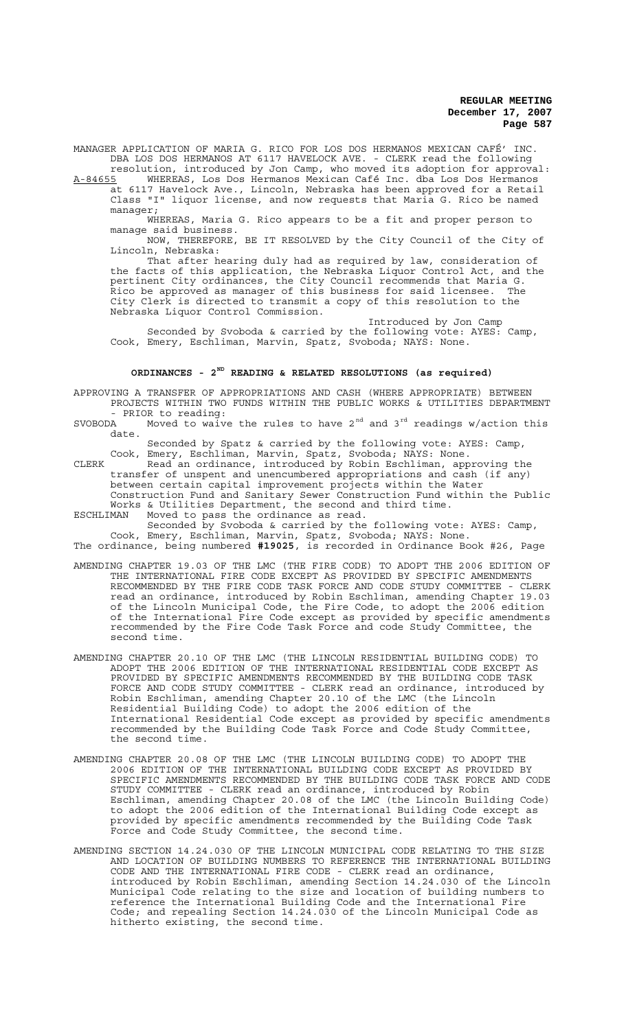MANAGER APPLICATION OF MARIA G. RICO FOR LOS DOS HERMANOS MEXICAN CAFÉ' INC. DBA LOS DOS HERMANOS AT 6117 HAVELOCK AVE. - CLERK read the following

resolution, introduced by Jon Camp, who moved its adoption for approval:<br>A-84655 WHEREAS, Los Dos Hermanos Mexican Café Inc. dba Los Dos Hermanos A-84655 WHEREAS, Los Dos Hermanos Mexican Café Inc. dba Los Dos Hermanos at 6117 Havelock Ave., Lincoln, Nebraska has been approved for a Retail Class "I" liquor license, and now requests that Maria G. Rico be named manager;

WHEREAS, Maria G. Rico appears to be a fit and proper person to manage said business.

NOW, THEREFORE, BE IT RESOLVED by the City Council of the City of Lincoln, Nebraska:

That after hearing duly had as required by law, consideration of the facts of this application, the Nebraska Liquor Control Act, and the pertinent City ordinances, the City Council recommends that Maria G. Rico be approved as manager of this business for said licensee. The City Clerk is directed to transmit a copy of this resolution to the Nebraska Liquor Control Commission.

Introduced by Jon Camp Seconded by Svoboda & carried by the following vote: AYES: Camp, Cook, Emery, Eschliman, Marvin, Spatz, Svoboda; NAYS: None.

# **ORDINANCES - 2ND READING & RELATED RESOLUTIONS (as required)**

APPROVING A TRANSFER OF APPROPRIATIONS AND CASH (WHERE APPROPRIATE) BETWEEN PROJECTS WITHIN TWO FUNDS WITHIN THE PUBLIC WORKS & UTILITIES DEPARTMENT - PRIOR to reading:<br>SVOBODA Moved to waive

Moved to waive the rules to have  $2<sup>nd</sup>$  and  $3<sup>rd</sup>$  readings w/action this date.

Seconded by Spatz & carried by the following vote: AYES: Camp, Cook, Emery, Eschliman, Marvin, Spatz, Svoboda; NAYS: None.

CLERK Read an ordinance, introduced by Robin Eschliman, approving the transfer of unspent and unencumbered appropriations and cash (if any) between certain capital improvement projects within the Water Construction Fund and Sanitary Sewer Construction Fund within the Public Works & Utilities Department, the second and third time.

ESCHLIMAN Moved to pass the ordinance as read. Seconded by Svoboda & carried by the following vote: AYES: Camp, Cook, Emery, Eschliman, Marvin, Spatz, Svoboda; NAYS: None.

The ordinance, being numbered **#19025**, is recorded in Ordinance Book #26, Page

- AMENDING CHAPTER 19.03 OF THE LMC (THE FIRE CODE) TO ADOPT THE 2006 EDITION OF THE INTERNATIONAL FIRE CODE EXCEPT AS PROVIDED BY SPECIFIC AMENDMENTS RECOMMENDED BY THE FIRE CODE TASK FORCE AND CODE STUDY COMMITTEE - CLERK read an ordinance, introduced by Robin Eschliman, amending Chapter 19.03 of the Lincoln Municipal Code, the Fire Code, to adopt the 2006 edition of the International Fire Code except as provided by specific amendments recommended by the Fire Code Task Force and code Study Committee, the second time.
- AMENDING CHAPTER 20.10 OF THE LMC (THE LINCOLN RESIDENTIAL BUILDING CODE) TO ADOPT THE 2006 EDITION OF THE INTERNATIONAL RESIDENTIAL CODE EXCEPT AS PROVIDED BY SPECIFIC AMENDMENTS RECOMMENDED BY THE BUILDING CODE TASK FORCE AND CODE STUDY COMMITTEE - CLERK read an ordinance, introduced by Robin Eschliman, amending Chapter 20.10 of the LMC (the Lincoln Residential Building Code) to adopt the 2006 edition of the International Residential Code except as provided by specific amendments recommended by the Building Code Task Force and Code Study Committee, the second time.
- AMENDING CHAPTER 20.08 OF THE LMC (THE LINCOLN BUILDING CODE) TO ADOPT THE 2006 EDITION OF THE INTERNATIONAL BUILDING CODE EXCEPT AS PROVIDED BY SPECIFIC AMENDMENTS RECOMMENDED BY THE BUILDING CODE TASK FORCE AND CODE STUDY COMMITTEE - CLERK read an ordinance, introduced by Robin Eschliman, amending Chapter 20.08 of the LMC (the Lincoln Building Code) to adopt the 2006 edition of the International Building Code except as provided by specific amendments recommended by the Building Code Task Force and Code Study Committee, the second time.
- AMENDING SECTION 14.24.030 OF THE LINCOLN MUNICIPAL CODE RELATING TO THE SIZE AND LOCATION OF BUILDING NUMBERS TO REFERENCE THE INTERNATIONAL BUILDING CODE AND THE INTERNATIONAL FIRE CODE - CLERK read an ordinance, introduced by Robin Eschliman, amending Section 14.24.030 of the Lincoln Municipal Code relating to the size and location of building numbers to reference the International Building Code and the International Fire Code; and repealing Section 14.24.030 of the Lincoln Municipal Code as hitherto existing, the second time.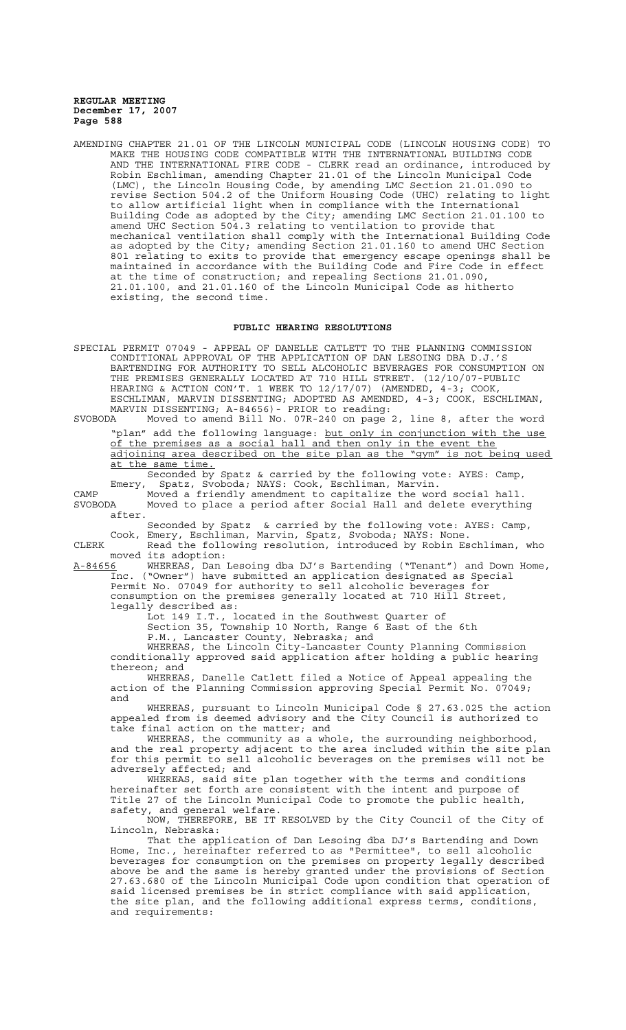AMENDING CHAPTER 21.01 OF THE LINCOLN MUNICIPAL CODE (LINCOLN HOUSING CODE) TO MAKE THE HOUSING CODE COMPATIBLE WITH THE INTERNATIONAL BUILDING CODE AND THE INTERNATIONAL FIRE CODE - CLERK read an ordinance, introduced by Robin Eschliman, amending Chapter 21.01 of the Lincoln Municipal Code (LMC), the Lincoln Housing Code, by amending LMC Section 21.01.090 to revise Section 504.2 of the Uniform Housing Code (UHC) relating to light to allow artificial light when in compliance with the International Building Code as adopted by the City; amending LMC Section 21.01.100 to amend UHC Section 504.3 relating to ventilation to provide that mechanical ventilation shall comply with the International Building Code as adopted by the City; amending Section 21.01.160 to amend UHC Section 801 relating to exits to provide that emergency escape openings shall be maintained in accordance with the Building Code and Fire Code in effect at the time of construction; and repealing Sections 21.01.090, 21.01.100, and 21.01.160 of the Lincoln Municipal Code as hitherto existing, the second time.

### **PUBLIC HEARING RESOLUTIONS**

SPECIAL PERMIT 07049 - APPEAL OF DANELLE CATLETT TO THE PLANNING COMMISSION CONDITIONAL APPROVAL OF THE APPLICATION OF DAN LESOING DBA D.J.'S BARTENDING FOR AUTHORITY TO SELL ALCOHOLIC BEVERAGES FOR CONSUMPTION ON THE PREMISES GENERALLY LOCATED AT 710 HILL STREET. (12/10/07-PUBLIC HEARING & ACTION CON'T. 1 WEEK TO 12/17/07) (AMENDED, 4-3; COOK, ESCHLIMAN, MARVIN DISSENTING; ADOPTED AS AMENDED, 4-3; COOK, ESCHLIMAN, MARVIN DISSENTING; A-84656) - PRIOR to reading:<br>SVOBODA Moved to amend Bill No. 07R-240 on page Moved to amend Bill No. 07R-240 on page 2, line 8, after the word "plan" add the following language: but only in conjunction with the use of the premises as a social hall and then only in the event the adjoining area described on the site plan as the "gym" is not being used at the same time. Seconded by Spatz & carried by the following vote: AYES: Camp, Emery, Spatz, Svoboda; NAYS: Cook, Eschliman, Marvin. CAMP Moved a friendly amendment to capitalize the word social hall. SVOBODA Moved to place a period after Social Hall and delete everything after. Seconded by Spatz & carried by the following vote: AYES: Camp, Cook, Emery, Eschliman, Marvin, Spatz, Svoboda; NAYS: None. CLERK Read the following resolution, introduced by Robin Eschliman, who moved its adoption: A-84656 WHEREAS, Dan Lesoing dba DJ's Bartending ("Tenant") and Down Home, Inc. ("Owner") have submitted an application designated as Special Permit No. 07049 for authority to sell alcoholic beverages for consumption on the premises generally located at 710 Hill Street, legally described as: Lot 149 I.T., located in the Southwest Quarter of Section 35, Township 10 North, Range 6 East of the 6th P.M., Lancaster County, Nebraska; and WHEREAS, the Lincoln City-Lancaster County Planning Commission conditionally approved said application after holding a public hearing thereon; and WHEREAS, Danelle Catlett filed a Notice of Appeal appealing the action of the Planning Commission approving Special Permit No. 07049; and WHEREAS, pursuant to Lincoln Municipal Code § 27.63.025 the action appealed from is deemed advisory and the City Council is authorized to take final action on the matter; and WHEREAS, the community as a whole, the surrounding neighborhood, and the real property adjacent to the area included within the site plan for this permit to sell alcoholic beverages on the premises will not be adversely affected; and WHEREAS, said site plan together with the terms and conditions hereinafter set forth are consistent with the intent and purpose of Title 27 of the Lincoln Municipal Code to promote the public health, safety, and general welfare. NOW, THEREFORE, BE IT RESOLVED by the City Council of the City of Lincoln, Nebraska: That the application of Dan Lesoing dba DJ's Bartending and Down<br>Home, Inc., hereinafter referred to as "Permittee", to sell alcoholic hereinafter referred to as "Permittee", to sell alcoholic beverages for consumption on the premises on property legally described above be and the same is hereby granted under the provisions of Section 27.63.680 of the Lincoln Municipal Code upon condition that operation of said licensed premises be in strict compliance with said application, the site plan, and the following additional express terms, conditions, and requirements: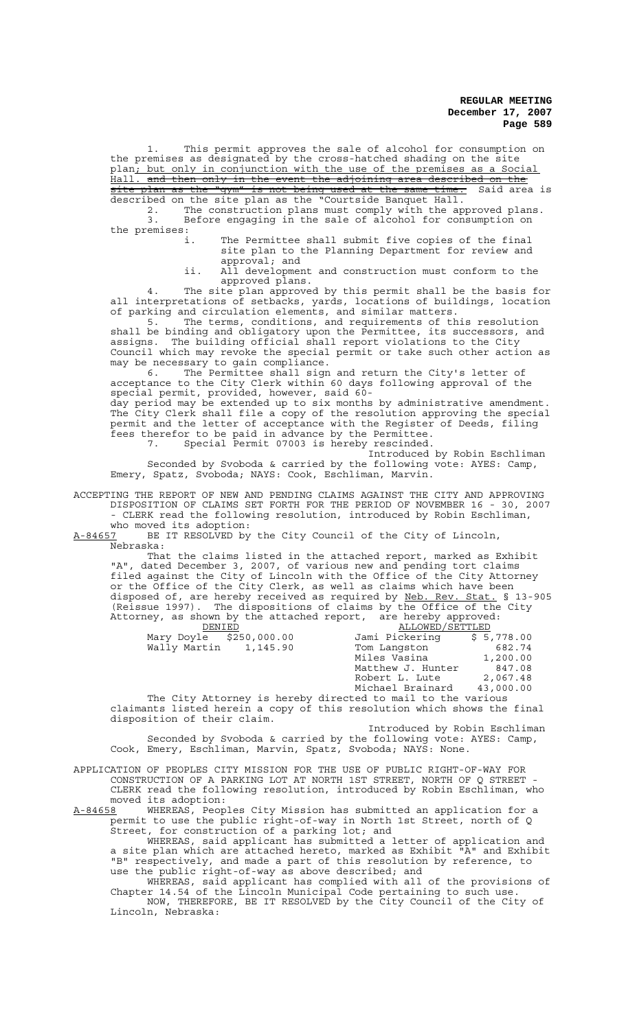1. This permit approves the sale of alcohol for consumption on the premises as designated by the cross-hatched shading on the site plan; but only in conjunction with the use of the premises as a Social Hall. and then only in the event the adjoining area described on the site plan as the "gym" is not being used at the same time. Said area is

described on the site plan as the "Courtside Banquet Hall. 2. The construction plans must comply with the approved plans.<br>3. Before engaging in the sale of alcohol for consumption on Before engaging in the sale of alcohol for consumption on the premises:<br>i.

The Permittee shall submit five copies of the final site plan to the Planning Department for review and approval; and

ii. All development and construction must conform to the approved plans.

4. The site plan approved by this permit shall be the basis for all interpretations of setbacks, yards, locations of buildings, location of parking and circulation elements, and similar matters.

5. The terms, conditions, and requirements of this resolution shall be binding and obligatory upon the Permittee, its successors, and assigns. The building official shall report violations to the City Council which may revoke the special permit or take such other action as may be necessary to gain compliance.

6. The Permittee shall sign and return the City's letter of acceptance to the City Clerk within 60 days following approval of the special permit, provided, however, said 60 day period may be extended up to six months by administrative amendment.

The City Clerk shall file a copy of the resolution approving the special permit and the letter of acceptance with the Register of Deeds, filing fees therefor to be paid in advance by the Permittee. 7. Special Permit 07003 is hereby rescinded.

Introduced by Robin Eschliman Seconded by Svoboda & carried by the following vote: AYES: Camp,

Emery, Spatz, Svoboda; NAYS: Cook, Eschliman, Marvin.

ACCEPTING THE REPORT OF NEW AND PENDING CLAIMS AGAINST THE CITY AND APPROVING DISPOSITION OF CLAIMS SET FORTH FOR THE PERIOD OF NOVEMBER 16 - 30, 2007 CLERK read the following resolution, introduced by Robin Eschliman,

who moved its adoption:<br>A-84657 BE IT RESOLVED by BE IT RESOLVED by the City Council of the City of Lincoln, Nebraska:

That the claims listed in the attached report, marked as Exhibit "A", dated December 3, 2007, of various new and pending tort claims filed against the City of Lincoln with the Office of the City Attorney or the Office of the City Clerk, as well as claims which have been disposed of, are hereby received as required by Neb. Rev. Stat. § 13-905 (Reissue 1997). The dispositions of claims by the Office of the City Attorney, as shown by the attached report, are hereby approved:

| DENIED                  | ALLOWED/SETTLED   |            |
|-------------------------|-------------------|------------|
| Mary Doyle \$250,000.00 | Jami Pickering    | \$5,778.00 |
| Wally Martin 1,145.90   | Tom Langston      | 682.74     |
|                         | Miles Vasina      | 1,200.00   |
|                         | Matthew J. Hunter | 847.08     |
|                         | Robert L. Lute    | 2,067.48   |
|                         | Michael Brainard  | 43,000.00  |
|                         |                   |            |

The City Attorney is hereby directed to mail to the various claimants listed herein a copy of this resolution which shows the final disposition of their claim.

Introduced by Robin Eschliman Seconded by Svoboda & carried by the following vote: AYES: Camp, Cook, Emery, Eschliman, Marvin, Spatz, Svoboda; NAYS: None.

APPLICATION OF PEOPLES CITY MISSION FOR THE USE OF PUBLIC RIGHT-OF-WAY FOR CONSTRUCTION OF A PARKING LOT AT NORTH 1ST STREET, NORTH OF Q STREET - CLERK read the following resolution, introduced by Robin Eschliman, who moved its adoption:<br>A-84658 WHEREAS, Peop

WHEREAS, Peoples City Mission has submitted an application for a permit to use the public right-of-way in North 1st Street, north of Q Street, for construction of a parking lot; and

WHEREAS, said applicant has submitted a letter of application and a site plan which are attached hereto, marked as Exhibit "A" and Exhibit "B" respectively, and made a part of this resolution by reference, to use the public right-of-way as above described; and

WHEREAS, said applicant has complied with all of the provisions of Chapter 14.54 of the Lincoln Municipal Code pertaining to such use. NOW, THEREFORE, BE IT RESOLVED by the City Council of the City of Lincoln, Nebraska: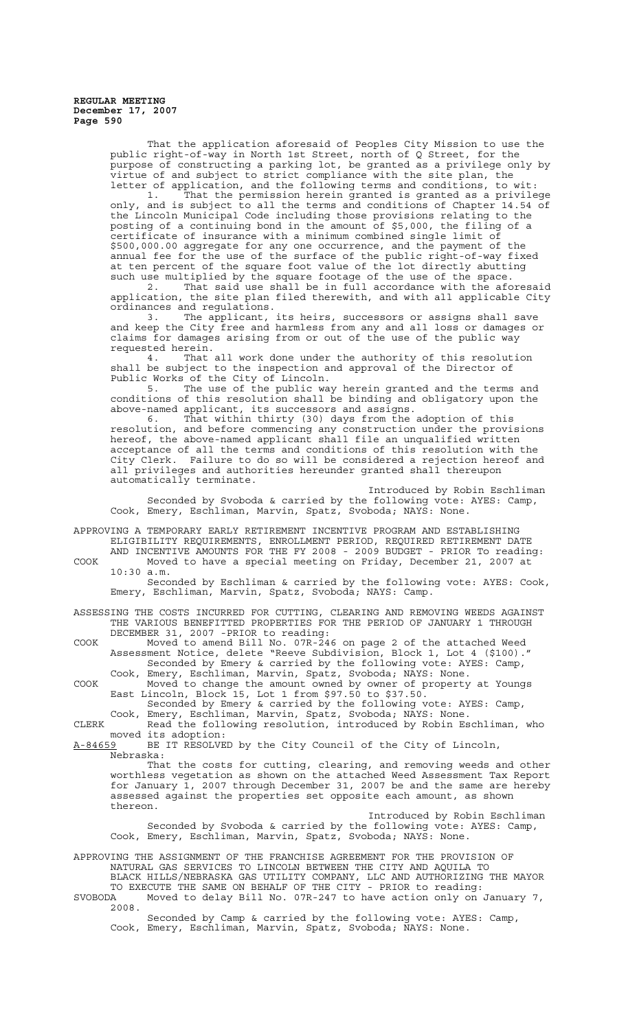> That the application aforesaid of Peoples City Mission to use the public right-of-way in North 1st Street, north of Q Street, for the purpose of constructing a parking lot, be granted as a privilege only by virtue of and subject to strict compliance with the site plan, the letter of application, and the following terms and conditions, to wit:<br>1. That the permission herein granted is granted as a privile

> 1. That the permission herein granted is granted as a privilege only, and is subject to all the terms and conditions of Chapter 14.54 of the Lincoln Municipal Code including those provisions relating to the posting of a continuing bond in the amount of \$5,000, the filing of a certificate of insurance with a minimum combined single limit of \$500,000.00 aggregate for any one occurrence, and the payment of the annual fee for the use of the surface of the public right-of-way fixed at ten percent of the square foot value of the lot directly abutting such use multiplied by the square footage of the use of the space.<br>2. That said use shall be in full accordance with the afo

> That said use shall be in full accordance with the aforesaid application, the site plan filed therewith, and with all applicable City ordinances and regulations.

3. The applicant, its heirs, successors or assigns shall save and keep the City free and harmless from any and all loss or damages or claims for damages arising from or out of the use of the public way requested herein.

4. That all work done under the authority of this resolution shall be subject to the inspection and approval of the Director of Public Works of the City of Lincoln.

5. The use of the public way herein granted and the terms and conditions of this resolution shall be binding and obligatory upon the above-named applicant, its successors and assigns.

6. That within thirty (30) days from the adoption of this resolution, and before commencing any construction under the provisions hereof, the above-named applicant shall file an unqualified written acceptance of all the terms and conditions of this resolution with the ity Clerk. Failure to do so will be considered a rejection hereof and all privileges and authorities hereunder granted shall thereupon automatically terminate.

Introduced by Robin Eschliman Seconded by Svoboda & carried by the following vote: AYES: Camp, Cook, Emery, Eschliman, Marvin, Spatz, Svoboda; NAYS: None.

APPROVING A TEMPORARY EARLY RETIREMENT INCENTIVE PROGRAM AND ESTABLISHING ELIGIBILITY REQUIREMENTS, ENROLLMENT PERIOD, REQUIRED RETIREMENT DATE AND INCENTIVE AMOUNTS FOR THE FY 2008 - 2009 BUDGET - PRIOR To reading:

COOK Moved to have a special meeting on Friday, December 21, 2007 at 10:30 a.m. Seconded by Eschliman & carried by the following vote: AYES: Cook,

Emery, Eschliman, Marvin, Spatz, Svoboda; NAYS: Camp.

ASSESSING THE COSTS INCURRED FOR CUTTING, CLEARING AND REMOVING WEEDS AGAINST THE VARIOUS BENEFITTED PROPERTIES FOR THE PERIOD OF JANUARY 1 THROUGH DECEMBER 31, 2007 -PRIOR to reading:

COOK Moved to amend Bill No. 07R-246 on page 2 of the attached Weed Assessment Notice, delete "Reeve Subdivision, Block 1, Lot 4 (\$100)." Seconded by Emery & carried by the following vote: AYES: Camp,

Cook, Emery, Eschliman, Marvin, Spatz, Svoboda; NAYS: None. COOK Moved to change the amount owned by owner of property at Youngs East Lincoln, Block 15, Lot 1 from \$97.50 to \$37.50.

Seconded by Emery & carried by the following vote: AYES: Camp, Cook, Emery, Eschliman, Marvin, Spatz, Svoboda; NAYS: None.

CLERK Read the following resolution, introduced by Robin Eschliman, who

moved its adoption:<br>A-84659 BE IT RESOLVE BE IT RESOLVED by the City Council of the City of Lincoln, Nebraska:

That the costs for cutting, clearing, and removing weeds and other worthless vegetation as shown on the attached Weed Assessment Tax Report for January 1, 2007 through December 31, 2007 be and the same are hereby assessed against the properties set opposite each amount, as shown thereon.

Introduced by Robin Eschliman Seconded by Svoboda & carried by the following vote: AYES: Camp, Cook, Emery, Eschliman, Marvin, Spatz, Svoboda; NAYS: None.

APPROVING THE ASSIGNMENT OF THE FRANCHISE AGREEMENT FOR THE PROVISION OF NATURAL GAS SERVICES TO LINCOLN BETWEEN THE CITY AND AQUILA TO

BLACK HILLS/NEBRASKA GAS UTILITY COMPANY, LLC AND AUTHORIZING THE MAYOR TO EXECUTE THE SAME ON BEHALF OF THE CITY - PRIOR to reading:

SVOBODA Moved to delay Bill No. 07R-247 to have action only on January 7, 2008.

Seconded by Camp & carried by the following vote: AYES: Camp, Cook, Emery, Eschliman, Marvin, Spatz, Svoboda; NAYS: None.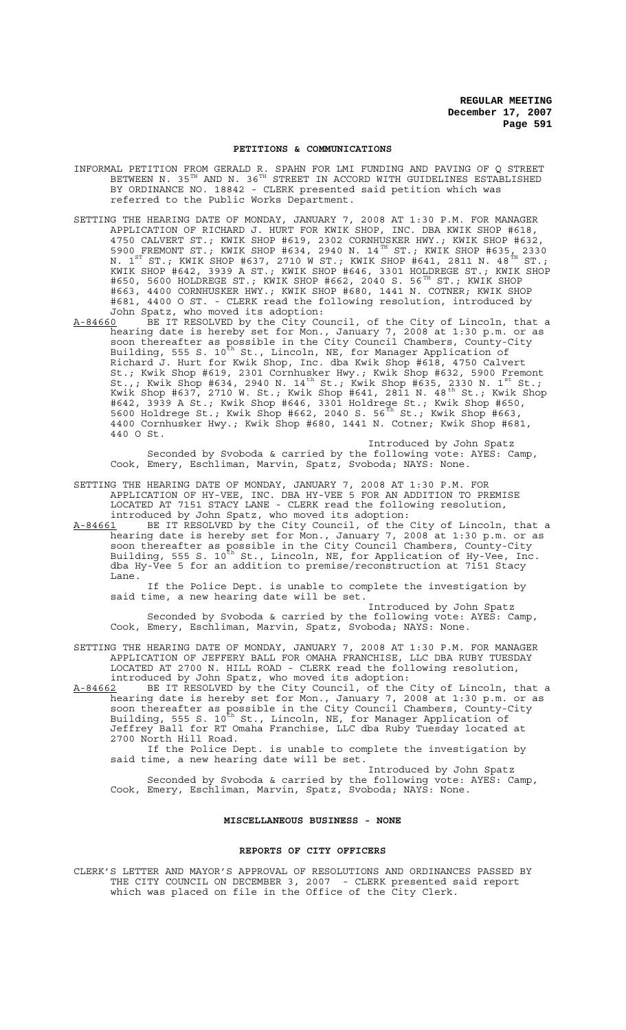### **PETITIONS & COMMUNICATIONS**

INFORMAL PETITION FROM GERALD R. SPAHN FOR LMI FUNDING AND PAVING OF Q STREET BETWEEN N. 35 $^{\tt TH}$  AND N. 36 $^{\tt TH}$  STREET IN ACCORD WITH GUIDELINES ESTABLISHED BY ORDINANCE NO. 18842 - CLERK presented said petition which was referred to the Public Works Department.

- SETTING THE HEARING DATE OF MONDAY, JANUARY 7, 2008 AT 1:30 P.M. FOR MANAGER APPLICATION OF RICHARD J. HURT FOR KWIK SHOP, INC. DBA KWIK SHOP #618, 4750 CALVERT ST.; KWIK SHOP #619, 2302 CORNHUSKER HWY.; KWIK SHOP #632, 5900 FREMONT ST.; KWIK SHOP #634, 2940 N. 14<sup>TH</sup> ST.; KWIK SHOP #635, 2330 N. 1 $^{\rm ST}$  ST.; KWIK SHOP #637, 2710 W ST.; KWIK SHOP #641, 2811 N. 48 $^{\rm \acute{r}H}$  ST.; KWIK SHOP #642, 3939 A ST.; KWIK SHOP #646, 3301 HOLDREGE ST.; KWIK SHOP #650, 5600 HOLDREGE ST.; KWIK SHOP #662, 2040 S. 56TH ST.; KWIK SHOP #663, 4400 CORNHUSKER HWY.; KWIK SHOP #680, 1441 N. COTNER; KWIK SHOP #681, 4400 O ST. - CLERK read the following resolution, introduced by John Spatz, who moved its adoption:
- A-84660 BE IT RESOLVED by the City Council, of the City of Lincoln, that a hearing date is hereby set for Mon., January 7, 2008 at 1:30 p.m. or as soon thereafter as possible in the City Council Chambers, County-City Building, 555 S. 10<sup>th</sup> St., Lincoln, NE, for Manager Application of Richard J. Hurt for Kwik Shop, Inc. dba Kwik Shop #618, 4750 Calvert St.; Kwik Shop #619, 2301 Cornhusker Hwy.; Kwik Shop #632, 5900 Fremont St.,; Kwik Shop #634, 2940 N. 14<sup>th</sup> St.; Kwik Shop #635, 2330 N. 1<sup>st</sup> St.; Kwik Shop #637, 2710 W. St.; Kwik Shop #641, 2811 N. 48<sup>th</sup> St.; Kwik Shop #642, 3939 A St.; Kwik Shop #646, 3301 Holdrege St.; Kwik Shop #650, 5600 Holdrege St.; Kwik Shop #662, 2040 S. 56<sup>th</sup> St.; Kwik Shop #663, 4400 Cornhusker Hwy.; Kwik Shop #680, 1441 N. Cotner; Kwik Shop #681, 440 O St.

Introduced by John Spatz Seconded by Svoboda & carried by the following vote: AYES: Camp, Cook, Emery, Eschliman, Marvin, Spatz, Svoboda; NAYS: None.

SETTING THE HEARING DATE OF MONDAY, JANUARY 7, 2008 AT 1:30 P.M. FOR APPLICATION OF HY-VEE, INC. DBA HY-VEE 5 FOR AN ADDITION TO PREMISE LOCATED AT 7151 STACY LANE - CLERK read the following resolution, introduced by John Spatz, who moved its adoption:

A-84661 BE IT RESOLVED by the City Council, of the City of Lincoln, that a hearing date is hereby set for Mon., January 7, 2008 at 1:30 p.m. or as soon thereafter as possible in the City Council Chambers, County-City Building, 555 S. 10<sup>th</sup> St., Lincoln, NE, for Application of Hy-Vee, Inc. dba Hy-Vee 5 for an addition to premise/reconstruction at 7151 Stacy Lane.

If the Police Dept. is unable to complete the investigation by said time, a new hearing date will be set.

 Introduced by John Spatz Seconded by Svoboda & carried by the following vote: AYES: Camp, Cook, Emery, Eschliman, Marvin, Spatz, Svoboda; NAYS: None.

SETTING THE HEARING DATE OF MONDAY, JANUARY 7, 2008 AT 1:30 P.M. FOR MANAGER APPLICATION OF JEFFERY BALL FOR OMAHA FRANCHISE, LLC DBA RUBY TUESDAY LOCATED AT 2700 N. HILL ROAD - CLERK read the following resolution, introduced by John Spatz, who moved its adoption:

A-84662 BE IT RESOLVED by the City Council, of the City of Lincoln, that a hearing date is hereby set for Mon., January 7, 2008 at 1:30 p.m. or as soon thereafter as possible in the City Council Chambers, County-City Building, 555 S. 10<sup>th</sup> St., Lincoln, NE, for Manager Application of Jeffrey Ball for RT Omaha Franchise, LLC dba Ruby Tuesday located at 2700 North Hill Road.

If the Police Dept. is unable to complete the investigation by said time, a new hearing date will be set.

Introduced by John Spatz Seconded by Svoboda & carried by the following vote: AYES: Camp, Cook, Emery, Eschliman, Marvin, Spatz, Svoboda; NAYS: None.

# **MISCELLANEOUS BUSINESS - NONE**

### **REPORTS OF CITY OFFICERS**

CLERK'S LETTER AND MAYOR'S APPROVAL OF RESOLUTIONS AND ORDINANCES PASSED BY THE CITY COUNCIL ON DECEMBER 3, 2007 - CLERK presented said report which was placed on file in the Office of the City Clerk.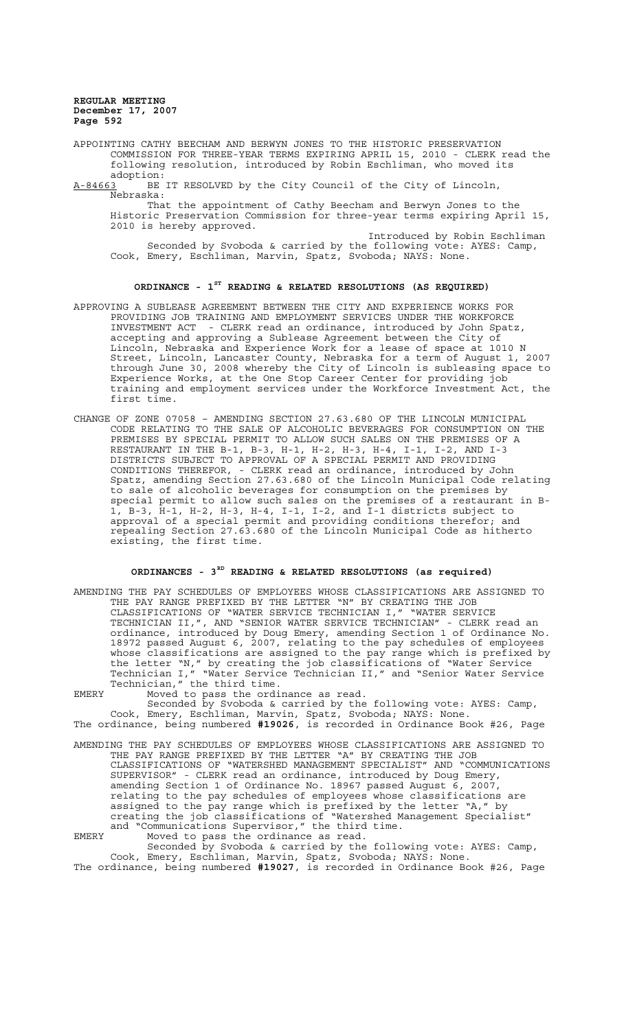APPOINTING CATHY BEECHAM AND BERWYN JONES TO THE HISTORIC PRESERVATION COMMISSION FOR THREE-YEAR TERMS EXPIRING APRIL 15, 2010 - CLERK read the following resolution, introduced by Robin Eschliman, who moved its adoption:

A-84663 BE IT RESOLVED by the City Council of the City of Lincoln, Nebraska:

That the appointment of Cathy Beecham and Berwyn Jones to the Historic Preservation Commission for three-year terms expiring April 15, 2010 is hereby approved.

Introduced by Robin Eschliman Seconded by Svoboda & carried by the following vote: AYES: Camp, Cook, Emery, Eschliman, Marvin, Spatz, Svoboda; NAYS: None.

# **ORDINANCE - 1ST READING & RELATED RESOLUTIONS (AS REQUIRED)**

- APPROVING A SUBLEASE AGREEMENT BETWEEN THE CITY AND EXPERIENCE WORKS FOR PROVIDING JOB TRAINING AND EMPLOYMENT SERVICES UNDER THE WORKFORCE INVESTMENT ACT - CLERK read an ordinance, introduced by John Spatz, accepting and approving a Sublease Agreement between the City of Lincoln, Nebraska and Experience Work for a lease of space at 1010 N Street, Lincoln, Lancaster County, Nebraska for a term of August 1, 2007 through June 30, 2008 whereby the City of Lincoln is subleasing space to Experience Works, at the One Stop Career Center for providing job training and employment services under the Workforce Investment Act, the first time.
- CHANGE OF ZONE 07058 AMENDING SECTION 27.63.680 OF THE LINCOLN MUNICIPAL CODE RELATING TO THE SALE OF ALCOHOLIC BEVERAGES FOR CONSUMPTION ON THE PREMISES BY SPECIAL PERMIT TO ALLOW SUCH SALES ON THE PREMISES OF A RESTAURANT IN THE B-1, B-3, H-1, H-2, H-3, H-4, I-1, I-2, AND I-3 DISTRICTS SUBJECT TO APPROVAL OF A SPECIAL PERMIT AND PROVIDING CONDITIONS THEREFOR, - CLERK read an ordinance, introduced by John Spatz, amending Section 27.63.680 of the Lincoln Municipal Code relating to sale of alcoholic beverages for consumption on the premises by special permit to allow such sales on the premises of a restaurant in B-1, B-3, H-1, H-2, H-3, H-4, I-1, I-2, and I-1 districts subject to approval of a special permit and providing conditions therefor; and repealing Section 27.63.680 of the Lincoln Municipal Code as hitherto existing, the first time.

# **ORDINANCES - 3RD READING & RELATED RESOLUTIONS (as required)**

AMENDING THE PAY SCHEDULES OF EMPLOYEES WHOSE CLASSIFICATIONS ARE ASSIGNED TO THE PAY RANGE PREFIXED BY THE LETTER "N" BY CREATING THE JOB CLASSIFICATIONS OF "WATER SERVICE TECHNICIAN I," "WATER SERVICE TECHNICIAN II,", AND "SENIOR WATER SERVICE TECHNICIAN" - CLERK read an ordinance, introduced by Doug Emery, amending Section 1 of Ordinance No. 18972 passed August 6, 2007, relating to the pay schedules of employees whose classifications are assigned to the pay range which is prefixed by the letter "N," by creating the job classifications of "Water Service Technician I," "Water Service Technician II," and "Senior Water Service Technician," the third time.

EMERY Moved to pass the ordinance as read. Seconded by Svoboda & carried by the following vote: AYES: Camp, Cook, Emery, Eschliman, Marvin, Spatz, Svoboda; NAYS: None. The ordinance, being numbered **#19026**, is recorded in Ordinance Book #26, Page

AMENDING THE PAY SCHEDULES OF EMPLOYEES WHOSE CLASSIFICATIONS ARE ASSIGNED TO THE PAY RANGE PREFIXED BY THE LETTER "A" BY CREATING THE JOB CLASSIFICATIONS OF "WATERSHED MANAGEMENT SPECIALIST" AND "COMMUNICATIONS SUPERVISOR" - CLERK read an ordinance, introduced by Doug Emery, amending Section 1 of Ordinance No. 18967 passed August 6, 2007, relating to the pay schedules of employees whose classifications are assigned to the pay range which is prefixed by the letter "A," by creating the job classifications of "Watershed Management Specialist" and "Communications Supervisor," the third time. EMERY Moved to pass the ordinance as read.

Seconded by Svoboda & carried by the following vote: AYES: Camp, Cook, Emery, Eschliman, Marvin, Spatz, Svoboda; NAYS: None. The ordinance, being numbered **#19027**, is recorded in Ordinance Book #26, Page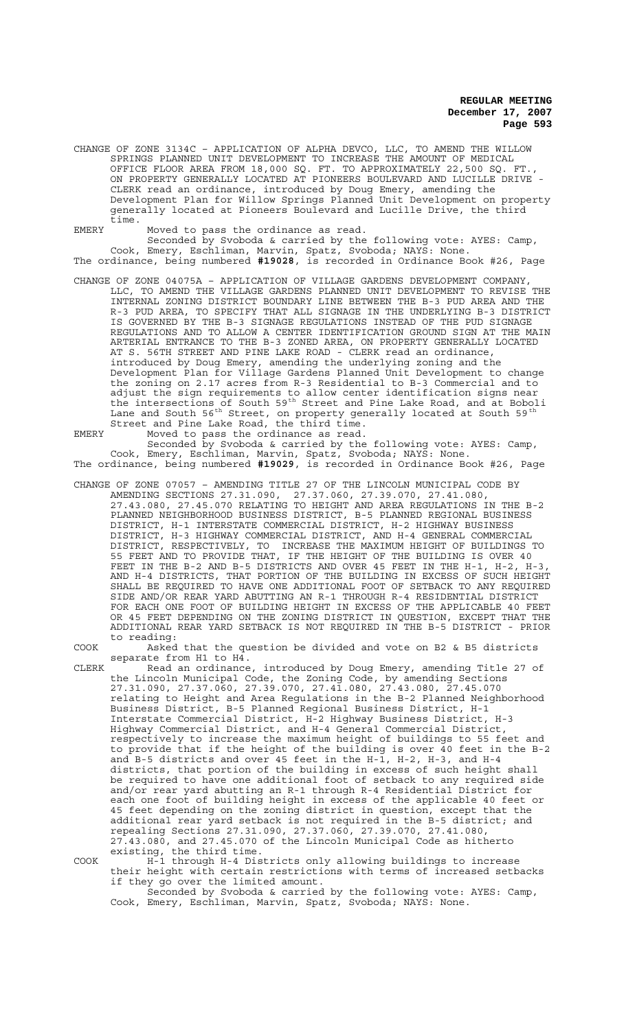CHANGE OF ZONE 3134C – APPLICATION OF ALPHA DEVCO, LLC, TO AMEND THE WILLOW SPRINGS PLANNED UNIT DEVELOPMENT TO INCREASE THE AMOUNT OF MEDICAL OFFICE FLOOR AREA FROM 18,000 SQ. FT. TO APPROXIMATELY 22,500 SQ. FT., ON PROPERTY GENERALLY LOCATED AT PIONEERS BOULEVARD AND LUCILLE DRIVE - CLERK read an ordinance, introduced by Doug Emery, amending the Development Plan for Willow Springs Planned Unit Development on property generally located at Pioneers Boulevard and Lucille Drive, the third time.

EMERY Moved to pass the ordinance as read.

Seconded by Svoboda & carried by the following vote: AYES: Camp, Cook, Emery, Eschliman, Marvin, Spatz, Svoboda; NAYS: None. The ordinance, being numbered **#19028**, is recorded in Ordinance Book #26, Page

CHANGE OF ZONE 04075A – APPLICATION OF VILLAGE GARDENS DEVELOPMENT COMPANY, LLC, TO AMEND THE VILLAGE GARDENS PLANNED UNIT DEVELOPMENT TO REVISE THE INTERNAL ZONING DISTRICT BOUNDARY LINE BETWEEN THE B-3 PUD AREA AND THE R-3 PUD AREA, TO SPECIFY THAT ALL SIGNAGE IN THE UNDERLYING B-3 DISTRICT IS GOVERNED BY THE B-3 SIGNAGE REGULATIONS INSTEAD OF THE PUD SIGNAGE REGULATIONS AND TO ALLOW A CENTER IDENTIFICATION GROUND SIGN AT THE MAIN ARTERIAL ENTRANCE TO THE B-3 ZONED AREA, ON PROPERTY GENERALLY LOCATED AT S. 56TH STREET AND PINE LAKE ROAD - CLERK read an ordinance, introduced by Doug Emery, amending the underlying zoning and the Development Plan for Village Gardens Planned Unit Development to change the zoning on 2.17 acres from R-3 Residential to B-3 Commercial and to adjust the sign requirements to allow center identification signs near the intersections of South 59th Street and Pine Lake Road, and at Boboli Lane and South 56<sup>th</sup> Street, on property generally located at South 59<sup>th</sup> Street and Pine Lake Road, the third time. EMERY Moved to pass the ordinance as read.

Seconded by Svoboda & carried by the following vote: AYES: Camp, Cook, Emery, Eschliman, Marvin, Spatz, Svoboda; NAYS: None. The ordinance, being numbered **#19029**, is recorded in Ordinance Book #26, Page

CHANGE OF ZONE 07057 – AMENDING TITLE 27 OF THE LINCOLN MUNICIPAL CODE BY AMENDING SECTIONS 27.31.090, 27.37.060, 27.39.070, 27.41.080, 27.43.080, 27.45.070 RELATING TO HEIGHT AND AREA REGULATIONS IN THE B-2 PLANNED NEIGHBORHOOD BUSINESS DISTRICT, B-5 PLANNED REGIONAL BUSINESS DISTRICT, H-1 INTERSTATE COMMERCIAL DISTRICT, H-2 HIGHWAY BUSINESS DISTRICT, H-3 HIGHWAY COMMERCIAL DISTRICT, AND H-4 GENERAL COMMERCIAL DISTRICT, RESPECTIVELY, TO INCREASE THE MAXIMUM HEIGHT OF BUILDINGS TO 55 FEET AND TO PROVIDE THAT, IF THE HEIGHT OF THE BUILDING IS OVER 40 FEET IN THE B-2 AND B-5 DISTRICTS AND OVER 45 FEET IN THE H-1, H-2, H-3, AND H-4 DISTRICTS, THAT PORTION OF THE BUILDING IN EXCESS OF SUCH HEIGHT SHALL BE REQUIRED TO HAVE ONE ADDITIONAL FOOT OF SETBACK TO ANY REQUIRED SIDE AND/OR REAR YARD ABUTTING AN R-1 THROUGH R-4 RESIDENTIAL DISTRICT FOR EACH ONE FOOT OF BUILDING HEIGHT IN EXCESS OF THE APPLICABLE 40 FEET OR 45 FEET DEPENDING ON THE ZONING DISTRICT IN QUESTION, EXCEPT THAT THE ADDITIONAL REAR YARD SETBACK IS NOT REQUIRED IN THE B-5 DISTRICT - PRIOR to reading:

COOK Asked that the question be divided and vote on B2 & B5 districts separate from H1 to H4.

CLERK Read an ordinance, introduced by Doug Emery, amending Title 27 of the Lincoln Municipal Code, the Zoning Code, by amending Sections 27.31.090, 27.37.060, 27.39.070, 27.41.080, 27.43.080, 27.45.070 relating to Height and Area Regulations in the B-2 Planned Neighborhood Business District, B-5 Planned Regional Business District, H-1 Interstate Commercial District, H-2 Highway Business District, H-3 Highway Commercial District, and H-4 General Commercial District, respectively to increase the maximum height of buildings to 55 feet and to provide that if the height of the building is over 40 feet in the B-2 and B-5 districts and over 45 feet in the H-1, H-2, H-3, and H-4 districts, that portion of the building in excess of such height shall be required to have one additional foot of setback to any required side and/or rear yard abutting an R-1 through R-4 Residential District for each one foot of building height in excess of the applicable 40 feet or 45 feet depending on the zoning district in question, except that the additional rear yard setback is not required in the B-5 district; and repealing Sections 27.31.090, 27.37.060, 27.39.070, 27.41.080, 27.43.080, and 27.45.070 of the Lincoln Municipal Code as hitherto existing, the third time.

COOK H-1 through H-4 Districts only allowing buildings to increase their height with certain restrictions with terms of increased setbacks if they go over the limited amount.

Seconded by Svoboda & carried by the following vote: AYES: Camp, Cook, Emery, Eschliman, Marvin, Spatz, Svoboda; NAYS: None.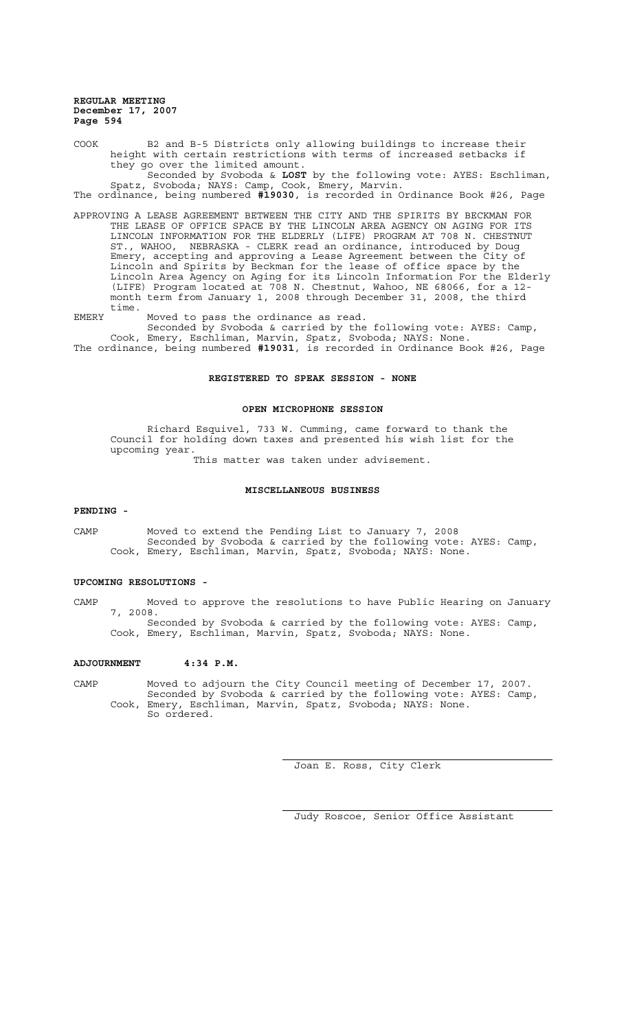COOK B2 and B-5 Districts only allowing buildings to increase their height with certain restrictions with terms of increased setbacks if they go over the limited amount.

Seconded by Svoboda & **LOST** by the following vote: AYES: Eschliman, Spatz, Svoboda; NAYS: Camp, Cook, Emery, Marvin.

The ordinance, being numbered **#19030**, is recorded in Ordinance Book #26, Page

APPROVING A LEASE AGREEMENT BETWEEN THE CITY AND THE SPIRITS BY BECKMAN FOR THE LEASE OF OFFICE SPACE BY THE LINCOLN AREA AGENCY ON AGING FOR ITS LINCOLN INFORMATION FOR THE ELDERLY (LIFE) PROGRAM AT 708 N. CHESTNUT ST., WAHOO, NEBRASKA - CLERK read an ordinance, introduced by Doug Emery, accepting and approving a Lease Agreement between the City of Lincoln and Spirits by Beckman for the lease of office space by the Lincoln Area Agency on Aging for its Lincoln Information For the Elderly (LIFE) Program located at 708 N. Chestnut, Wahoo, NE 68066, for a 12 month term from January 1, 2008 through December 31, 2008, the third time.

EMERY Moved to pass the ordinance as read.

Seconded by Svoboda & carried by the following vote: AYES: Camp, Cook, Emery, Eschliman, Marvin, Spatz, Svoboda; NAYS: None. The ordinance, being numbered **#19031**, is recorded in Ordinance Book #26, Page

## **REGISTERED TO SPEAK SESSION - NONE**

### **OPEN MICROPHONE SESSION**

Richard Esquivel, 733 W. Cumming, came forward to thank the Council for holding down taxes and presented his wish list for the upcoming year.

This matter was taken under advisement.

### **MISCELLANEOUS BUSINESS**

### **PENDING -**

CAMP Moved to extend the Pending List to January 7, 2008 Seconded by Svoboda & carried by the following vote: AYES: Camp, Cook, Emery, Eschliman, Marvin, Spatz, Svoboda; NAYS: None.

# **UPCOMING RESOLUTIONS -**

CAMP Moved to approve the resolutions to have Public Hearing on January 7, 2008. Seconded by Svoboda & carried by the following vote: AYES: Camp,

Cook, Emery, Eschliman, Marvin, Spatz, Svoboda; NAYS: None.

# **ADJOURNMENT 4:34 P.M.**

CAMP Moved to adjourn the City Council meeting of December 17, 2007. Seconded by Svoboda & carried by the following vote: AYES: Camp, Cook, Emery, Eschliman, Marvin, Spatz, Svoboda; NAYS: None. So ordered.

Joan E. Ross, City Clerk

Judy Roscoe, Senior Office Assistant